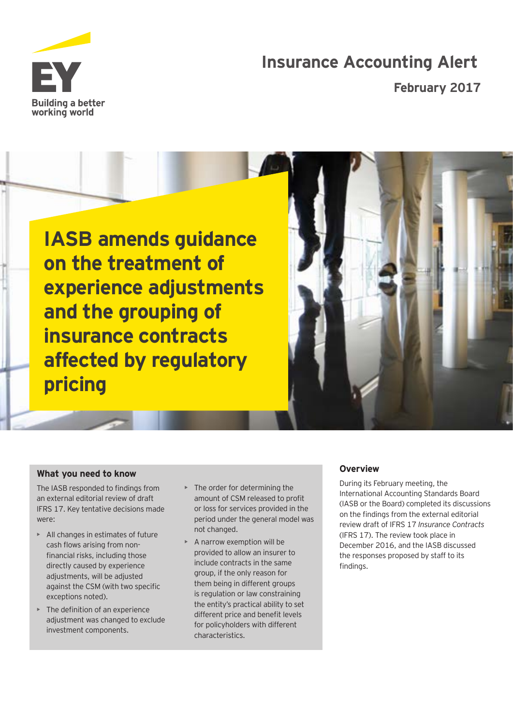

# **Insurance Accounting Alert**

**February 2017** 





#### **What you need to know**

The IASB responded to findings from an external editorial review of draft IFRS 17. Key tentative decisions made were:

- All changes in estimates of future cash flows arising from nonfinancial risks, including those directly caused by experience adjustments, will be adjusted against the CSM (with two specific exceptions noted).
- The definition of an experience adjustment was changed to exclude investment components.
- The order for determining the amount of CSM released to profit or loss for services provided in the period under the general model was not changed.
- A narrow exemption will be provided to allow an insurer to include contracts in the same group, if the only reason for them being in different groups is regulation or law constraining the entity's practical ability to set different price and benefit levels for policyholders with different characteristics.

# **O v erv iew**

During its February meeting, the International Accounting Standards Board (IASB or the Board) completed its discussions on the findings from the external editorial review draft of IFRS 17 *Insurance Contracts* (IFRS 17). The review took place in December 2016, and the IASB discussed the responses proposed by staff to its findings.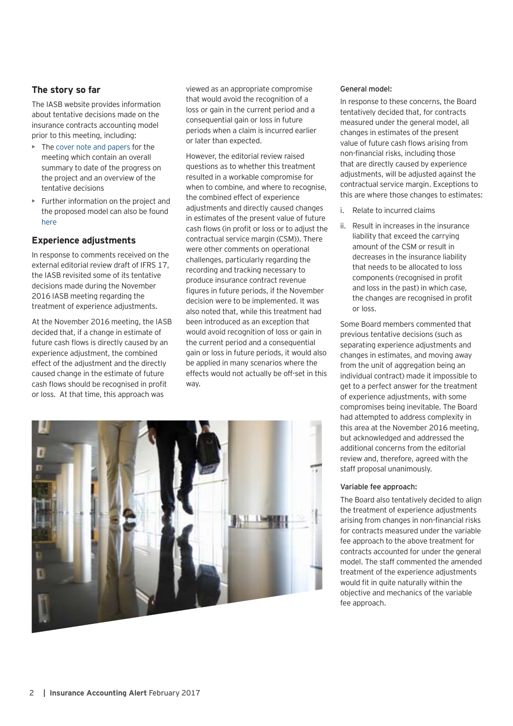# The story so far

The IASB website provides information about tentative decisions made on the insurance contracts accounting model prior to this meeting, including:

- The [cover note and papers](http://www.ifrs.org/Current-Projects/IASB-Projects/Insurance-Contracts/Pages/Discussion-and-papers-stage-7.aspx) for the meeting which contain an overall summary to date of the progress on the project and an overview of the tentative decisions
- Further information on the project and the proposed model can also be found [here](www.ifrs.org/Current-Projects/IASB-Projects/Insurance-Contracts/Pages/Insurance-Contracts.aspx)

# **Experience adjustments**

In response to comments received on the external editorial review draft of IFRS 17, the IASB revisited some of its tentative decisions made during the November 2016 IASB meeting regarding the treatment of experience adjustments.

At the November 2016 meeting, the IASB decided that, if a change in estimate of future cash flows is directly caused by an experience adjustment, the combined effect of the adjustment and the directly caused change in the estimate of future cash flows should be recognised in profit or loss. At that time, this approach was

viewed as an appropriate compromise that would avoid the recognition of a loss or gain in the current period and a consequential gain or loss in future periods when a claim is incurred earlier or later than expected.

However, the editorial review raised questions as to whether this treatment resulted in a workable compromise for when to combine, and where to recognise, the combined effect of experience adjustments and directly caused changes in estimates of the present value of future cash flows (in profit or loss or to adjust the contractual service margin (CSM)). There were other comments on operational challenges, particularly regarding the recording and tracking necessary to produce insurance contract revenue figures in future periods, if the November decision were to be implemented. It was also noted that, while this treatment had been introduced as an exception that would avoid recognition of loss or gain in the current period and a consequential gain or loss in future periods, it would also be applied in many scenarios where the effects would not actually be off-set in this way.



#### **General model:**

In response to these concerns, the Board tentatively decided that, for contracts measured under the general model, all changes in estimates of the present value of future cash flows arising from non-financial risks, including those that are directly caused by experience adjustments, will be adjusted against the contractual service margin. Exceptions to this are where those changes to estimates:

- i. Relate to incurred claims
- ii. Result in increases in the insurance liability that exceed the carrying amount of the CSM or result in decreases in the insurance liability that needs to be allocated to loss components (recognised in profit and loss in the past) in which case, the changes are recognised in profit or loss.

Some Board members commented that previous tentative decisions (such as separating experience adjustments and changes in estimates, and moving away from the unit of aggregation being an individual contract) made it impossible to get to a perfect answer for the treatment of experience adjustments, with some compromises being inevitable. The Board had attempted to address complexity in this area at the November 2016 meeting, but acknowledged and addressed the additional concerns from the editorial review and, therefore, agreed with the staff proposal unanimously.

#### **Variable fee approach:**

The Board also tentatively decided to align the treatment of experience adjustments arising from changes in non-financial risks for contracts measured under the variable fee approach to the above treatment for contracts accounted for under the general model. The staff commented the amended treatment of the experience adjustments would fit in quite naturally within the objective and mechanics of the variable fee approach.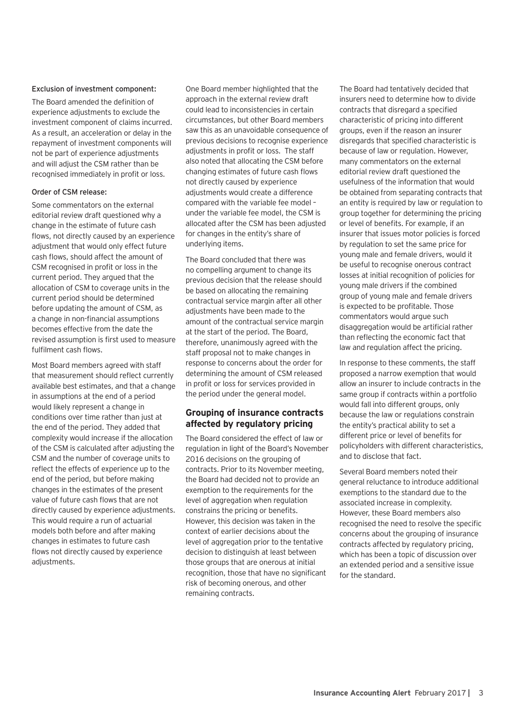#### **Exclusion of investment component:**

The Board amended the definition of experience adjustments to exclude the investment component of claims incurred. As a result, an acceleration or delay in the repayment of investment components will not be part of experience adjustments and will adjust the CSM rather than be recognised immediately in profit or loss.

#### **Order of CSM release:**

Some commentators on the external editorial review draft questioned why a change in the estimate of future cash flows, not directly caused by an experience adjustment that would only effect future cash flows, should affect the amount of CSM recognised in profit or loss in the current period. They argued that the allocation of CSM to coverage units in the current period should be determined before updating the amount of CSM, as a change in non-financial assumptions becomes effective from the date the revised assumption is first used to measure fulfilment cash flows.

Most Board members agreed with staff that measurement should reflect currently available best estimates, and that a change in assumptions at the end of a period would likely represent a change in conditions over time rather than just at the end of the period. They added that complexity would increase if the allocation of the CSM is calculated after adjusting the CSM and the number of coverage units to reflect the effects of experience up to the end of the period, but before making changes in the estimates of the present value of future cash flows that are not directly caused by experience adjustments. This would require a run of actuarial models both before and after making changes in estimates to future cash flows not directly caused by experience adiustments.

One Board member highlighted that the approach in the external review draft could lead to inconsistencies in certain circumstances, but other Board members saw this as an unavoidable consequence of previous decisions to recognise experience adjustments in profit or loss. The staff also noted that allocating the CSM before changing estimates of future cash flows not directly caused by experience adjustments would create a difference compared with the variable fee model – under the variable fee model, the CSM is allocated after the CSM has been adjusted for changes in the entity's share of underlying items.

The Board concluded that there was no compelling argument to change its previous decision that the release should be based on allocating the remaining contractual service margin after all other adjustments have been made to the amount of the contractual service margin at the start of the period. The Board, therefore, unanimously agreed with the staff proposal not to make changes in response to concerns about the order for determining the amount of CSM released in profit or loss for services provided in the period under the general model.

# **G roup ing of insurance contracts affected by regulatory pricing**

The Board considered the effect of law or regulation in light of the Board's November 2016 decisions on the grouping of contracts. Prior to its November meeting, the Board had decided not to provide an exemption to the requirements for the level of aggregation when regulation constrains the pricing or benefits. However, this decision was taken in the context of earlier decisions about the level of aggregation prior to the tentative decision to distinguish at least between those groups that are onerous at initial recognition, those that have no significant risk of becoming onerous, and other remaining contracts.

The Board had tentatively decided that insurers need to determine how to divide contracts that disregard a specified characteristic of pricing into different groups, even if the reason an insurer disregards that specified characteristic is because of law or regulation. However, many commentators on the external editorial review draft questioned the usefulness of the information that would be obtained from separating contracts that an entity is required by law or regulation to group together for determining the pricing or level of benefits. For example, if an insurer that issues motor policies is forced by regulation to set the same price for young male and female drivers, would it be useful to recognise onerous contract losses at initial recognition of policies for young male drivers if the combined group of young male and female drivers is expected to be profitable. Those commentators would argue such disaggregation would be artificial rather than reflecting the economic fact that law and regulation affect the pricing.

In response to these comments, the staff proposed a narrow exemption that would allow an insurer to include contracts in the same group if contracts within a portfolio would fall into different groups, only because the law or regulations constrain the entity's practical ability to set a different price or level of benefits for policyholders with different characteristics, and to disclose that fact.

Several Board members noted their general reluctance to introduce additional exemptions to the standard due to the associated increase in complexity. However, these Board members also recognised the need to resolve the specific concerns about the grouping of insurance contracts affected by regulatory pricing, which has been a topic of discussion over an extended period and a sensitive issue for the standard.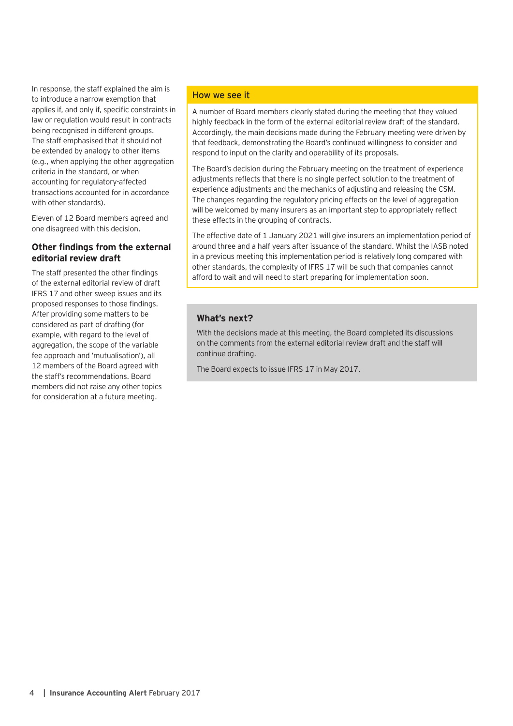In response, the staff explained the aim is to introduce a narrow exemption that applies if, and only if, specific constraints in law or regulation would result in contracts being recognised in different groups. The staff emphasised that it should not be extended by analogy to other items (e.g., when applying the other aggregation criteria in the standard, or when accounting for regulatory-affected transactions accounted for in accordance with other standards).

Eleven of 12 Board members agreed and one disagreed with this decision.

# **Other findings from the external editorial review draft**

The staff presented the other findings of the external editorial review of draft IFRS 17 and other sweep issues and its proposed responses to those findings. After providing some matters to be considered as part of drafting (for example, with regard to the level of aggregation, the scope of the variable fee approach and 'mutualisation'), all 12 members of the Board agreed with the staff's recommendations. Board members did not raise any other topics for consideration at a future meeting.

#### How we see it

A number of Board members clearly stated during the meeting that they valued highly feedback in the form of the external editorial review draft of the standard. Accordingly, the main decisions made during the February meeting were driven by that feedback, demonstrating the Board's continued willingness to consider and respond to input on the clarity and operability of its proposals.

The Board's decision during the February meeting on the treatment of experience adjustments reflects that there is no single perfect solution to the treatment of experience adjustments and the mechanics of adjusting and releasing the CSM. The changes regarding the regulatory pricing effects on the level of aggregation will be welcomed by many insurers as an important step to appropriately reflect these effects in the grouping of contracts.

The effective date of 1 January 2021 will give insurers an implementation period of around three and a half years after issuance of the standard. Whilst the IASB noted in a previous meeting this implementation period is relatively long compared with other standards, the complexity of IFRS 17 will be such that companies cannot afford to wait and will need to start preparing for implementation soon.

# **What's next?**

With the decisions made at this meeting, the Board completed its discussions on the comments from the external editorial review draft and the staff will continue drafting.

The Board expects to issue IFRS 17 in May 2017.